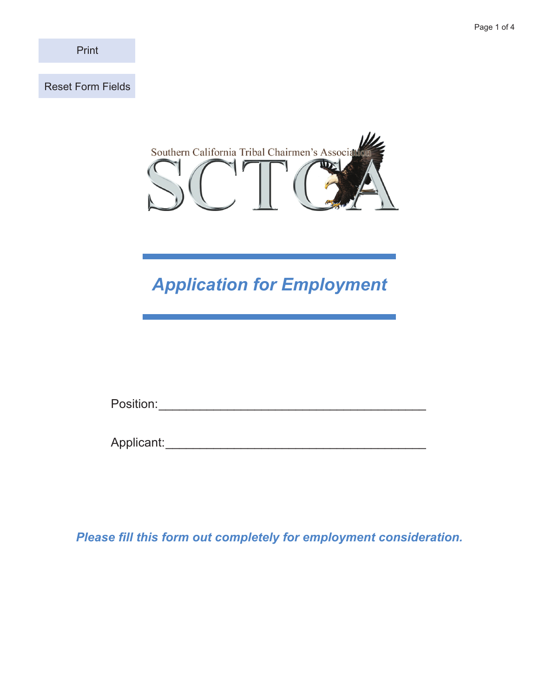Print

Reset Form Fields



# *Application for Employment*

Position:\_\_\_\_\_\_\_\_\_\_\_\_\_\_\_\_\_\_\_\_\_\_\_\_\_\_\_\_\_\_\_\_\_\_\_\_\_\_\_\_

Applicant:\_\_\_\_\_\_\_\_\_\_\_\_\_\_\_\_\_\_\_\_\_\_\_\_\_\_\_\_\_\_\_\_\_\_\_\_\_\_\_

*Please fill this form out completely for employment consideration.*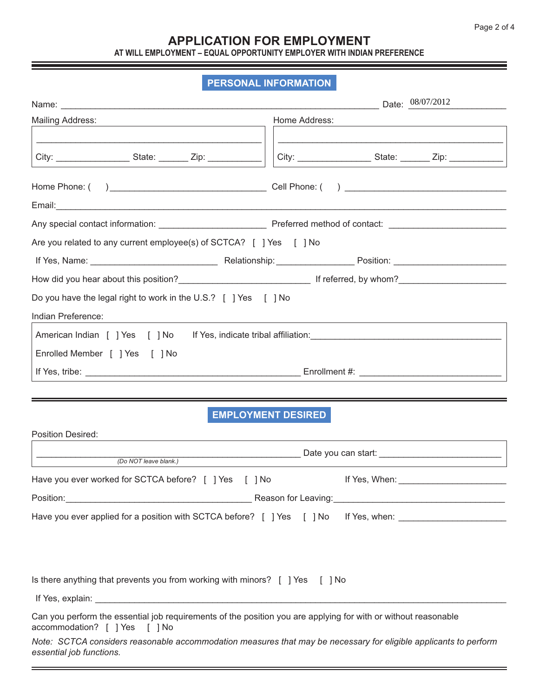#### **APPLICATION FOR EMPLOYMENT AT WILL EMPLOYMENT – EQUAL OPPORTUNITY EMPLOYER WITH INDIAN PREFERENCE**

#### **PERSONAL INFORMATION**

a sa kacamatan ing Kabupatèn Kabupatèn Kabupatèn Kabupatèn Kabupatèn Kabupatèn Kabupatèn Kabupatèn Kabupatèn K

|                                                                                                      | Date: $08/07/2012$ |  |  |
|------------------------------------------------------------------------------------------------------|--------------------|--|--|
| <b>Mailing Address:</b>                                                                              | Home Address:      |  |  |
|                                                                                                      |                    |  |  |
|                                                                                                      |                    |  |  |
|                                                                                                      |                    |  |  |
|                                                                                                      |                    |  |  |
| Are you related to any current employee(s) of SCTCA? [ ] Yes [ ] No                                  |                    |  |  |
|                                                                                                      |                    |  |  |
|                                                                                                      |                    |  |  |
| Do you have the legal right to work in the U.S.? [ ] Yes [ ] No                                      |                    |  |  |
| Indian Preference:                                                                                   |                    |  |  |
| American Indian [ ] Yes [ ] No If Yes, indicate tribal affiliation: ________________________________ |                    |  |  |
| Enrolled Member [ ] Yes [ ] No                                                                       |                    |  |  |
|                                                                                                      |                    |  |  |

## **EMPLOYMENT DESIRED**

| <b>Position Desired:</b>                                                                                                                        |                                                                                  |  |  |  |
|-------------------------------------------------------------------------------------------------------------------------------------------------|----------------------------------------------------------------------------------|--|--|--|
| (Do NOT leave blank.)                                                                                                                           | ________________________________ Date you can start: ___________________________ |  |  |  |
| Have you ever worked for SCTCA before? [ ] Yes [ ] No                                                                                           |                                                                                  |  |  |  |
|                                                                                                                                                 |                                                                                  |  |  |  |
| Have you ever applied for a position with SCTCA before? [ ] Yes [ ] No If Yes, when:                                                            |                                                                                  |  |  |  |
|                                                                                                                                                 |                                                                                  |  |  |  |
|                                                                                                                                                 |                                                                                  |  |  |  |
|                                                                                                                                                 |                                                                                  |  |  |  |
| Is there anything that prevents you from working with minors? $\lceil$   Yes $\lceil$   No                                                      |                                                                                  |  |  |  |
|                                                                                                                                                 |                                                                                  |  |  |  |
| Can you perform the essential job requirements of the position you are applying for with or without reasonable<br>accommodation? [ ] Yes [ ] No |                                                                                  |  |  |  |
| Note: SCTCA considers reasonable accommodation measures that may be necessary for eligible applicants to perform<br>essential job functions.    |                                                                                  |  |  |  |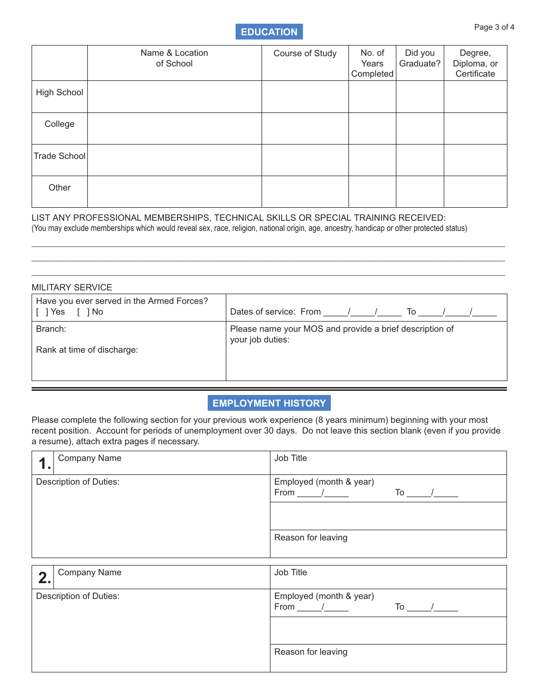## **EDUCATION** Page 3 of 4

|              | Name & Location<br>of School | Course of Study | No. of<br>Years<br>Completed | Did you<br>Graduate? | Degree,<br>Diploma, or<br>Certificate |
|--------------|------------------------------|-----------------|------------------------------|----------------------|---------------------------------------|
| High School  |                              |                 |                              |                      |                                       |
| College      |                              |                 |                              |                      |                                       |
| Trade School |                              |                 |                              |                      |                                       |
| Other        |                              |                 |                              |                      |                                       |

LIST ANY PROFESSIONAL MEMBERSHIPS, TECHNICAL SKILLS OR SPECIAL TRAINING RECEIVED: (You may exclude memberships which would reveal sex, race, religion, national origin, age, ancestry, handicap or other protected status)

| <b>MILITARY SERVICE</b>                                        |                                                                             |  |  |
|----------------------------------------------------------------|-----------------------------------------------------------------------------|--|--|
| Have you ever served in the Armed Forces?<br>[ ] Yes<br>[ ] No | Dates of service: From /<br>To                                              |  |  |
| Branch:<br>Rank at time of discharge:                          | Please name your MOS and provide a brief description of<br>your job duties: |  |  |

 $\_$  , and the set of the set of the set of the set of the set of the set of the set of the set of the set of the set of the set of the set of the set of the set of the set of the set of the set of the set of the set of th  $\_$  , and the set of the set of the set of the set of the set of the set of the set of the set of the set of the set of the set of the set of the set of the set of the set of the set of the set of the set of the set of th  $\_$  , and the set of the set of the set of the set of the set of the set of the set of the set of the set of the set of the set of the set of the set of the set of the set of the set of the set of the set of the set of th

### **Employment History**

Please complete the following section for your previous work experience (8 years minimum) beginning with your most recent position. Account for periods of unemployment over 30 days. Do not leave this section blank (even if you provide a resume), attach extra pages if necessary.

| . .                           | <b>Company Name</b> | Job Title                                                      |
|-------------------------------|---------------------|----------------------------------------------------------------|
| <b>Description of Duties:</b> |                     | Employed (month & year)<br>From $\frac{1}{\sqrt{2}}$<br>$To$ / |
|                               |                     |                                                                |
|                               |                     | Reason for leaving                                             |
|                               |                     |                                                                |
| 2.                            | <b>Company Name</b> | Job Title                                                      |
| <b>Description of Duties:</b> |                     | Employed (month & year)<br>From $\frac{1}{\sqrt{2}}$<br>$To$ / |
|                               |                     |                                                                |
|                               |                     | Reason for leaving                                             |